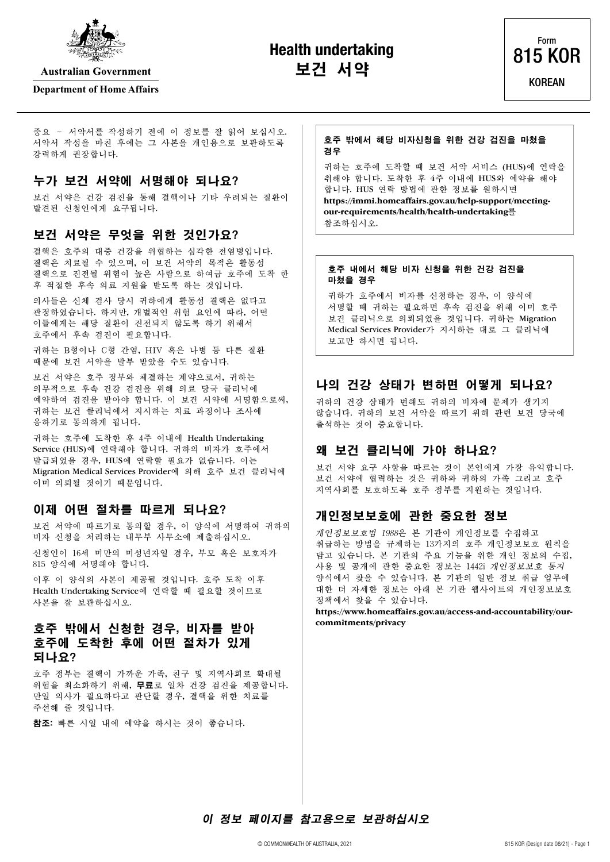

**Australian Government** 

#### **Department of Home Affairs**

**Health undertaking Form R15 KOR** 



중요 – 서약서를 작성하기 전에 이 정보를 잘 읽어 보십시오. 서약서 작성을 마친 후에는 그 사본을 개인용으로 보관하도록 강력하게 권장합니다.

# 누가 보건 서약에 서명해야 되나요?

보건 서약은 건강 검진을 통해 결핵이나 기타 우려되는 질환이 발견된 신청인에게 요구됩니다.

## 보건 서약은 무엇을 위한 것인가요?

결핵은 호주의 대중 건강을 위협하는 심각한 전염병입니다. 결핵은 치료될 수 있으며, 이 보건 서약의 목적은 활동성 결핵으로 진전될 위험이 높은 사람으로 하여금 호주에 도착 한 후 적절한 후속 의료 지원을 받도록 하는 것입니다.

의사들은 신체 검사 당시 귀하에게 활동성 결핵은 없다고 판정하였습니다. 하지만, 개별적인 위험 요인에 따라, 어떤 이들에게는 해당 질환이 진전되지 않도록 하기 위해서 호주에서 후속 검진이 필요합니다.

귀하는 B형이나 C형 간염, HIV 혹은 나병 등 다른 질환 때문에 보건 서약을 발부 받았을 수도 있습니다.

보건 서약은 호주 정부와 체결하는 계약으로서, 귀하는 의무적으로 후속 건강 검진을 위해 의료 당국 클리닉에 예약하여 검진을 받아야 합니다. 이 보건 서약에 서명함으로써, 귀하는 보건 클리닉에서 지시하는 치료 과정이나 조사에 응하기로 동의하게 됩니다.

귀하는 호주에 도착한 후 4주 이내에 Health Undertaking Service (HUS)에 연락해야 합니다. 귀하의 비자가 호주에서 발급되었을 경우, HUS에 연락할 필요가 없습니다. 이는 Migration Medical Services Provider에 의해 호주 보건 클리닉에 이미 의뢰될 것이기 때문입니다.

## 이제 어떤 절차를 따르게 되나요?

보건 서약에 따르기로 동의할 경우, 이 양식에 서명하여 귀하의 비자 신청을 처리하는 내무부 사무소에 제출하십시오.

신청인이 16세 미만의 미성년자일 경우, 부모 혹은 보호자가 815 양식에 서명해야 합니다.

이후 이 양식의 사본이 제공될 것입니다. 호주 도착 이후 Health Undertaking Service에 연락할 때 필요할 것이므로 사본을 잘 보관하십시오.

# 호주 밖에서 신청한 경우, 비자를 받아 호주에 도착한 후에 어떤 절차가 있게 되나요?

호주 정부는 결핵이 가까운 가족, 친구 및 지역사회로 확대될 위험을 최소화하기 위해, 무료로 일차 건강 검진을 제공합니다. 만일 의사가 필요하다고 판단할 경우, 결핵을 위한 치료를 주선해 줄 것입니다.

참조: 빠른 시일 내에 예약을 하시는 것이 좋습니다.

#### 호주 밖에서 해당 비자신청을 위한 건강 검진을 마쳤을 경우

귀하는 호주에 도착할 때 보건 서약 서비스 (HUS)에 연락을 취해야 합니다. 도착한 후 4주 이내에 HUS와 예약을 해야 합니다. HUS 연락 방법에 관한 정보를 원하시면 **[https://immi.homeaffairs.gov.au/help-support/meeting](https://immi.homeaffairs.gov.au/help-support/meeting-our-requirements/health/health-undertaking)[our-requirements/health/health-undertaking](https://immi.homeaffairs.gov.au/help-support/meeting-our-requirements/health/health-undertaking)**를 참조하십시오.

#### 호주 내에서 해당 비자 신청을 위한 건강 검진을 마쳤을 경우

귀하가 호주에서 비자를 신청하는 경우, 이 양식에 서명할 때 귀하는 필요하면 후속 검진을 위해 이미 호주 보건 클리닉으로 의뢰되었을 것입니다. 귀하는 Migration Medical Services Provider가 지시하는 대로 그 클리닉에 보고만 하시면 됩니다.

# 나의 건강 상태가 변하면 어떻게 되나요?

귀하의 건강 상태가 변해도 귀하의 비자에 문제가 생기지 않습니다. 귀하의 보건 서약을 따르기 위해 관련 보건 당국에 출석하는 것이 중요합니다.

## 왜 보건 클리닉에 가야 하나요?

보건 서약 요구 사항을 따르는 것이 본인에게 가장 유익합니다. 보건 서약에 협력하는 것은 귀하와 귀하의 가족 그리고 호주 지역사회를 보호하도록 호주 정부를 지원하는 것입니다.

## 개인정보보호에 관한 중요한 정보

개인정보보호법 1988은 본 기관이 개인정보를 수집하고 취급하는 방법을 규제하는 13가지의 호주 개인정보보호 원칙을 담고 있습니다. 본 기관의 주요 기능을 위한 개인 정보의 수집, 사용 및 공개에 관한 중요한 정보는 1442i 개인정보보호 통지 양식에서 찾을 수 있습니다. 본 기관의 일반 정보 취급 업무에 대한 더 자세한 정보는 아래 본 기관 웹사이트의 개인정보보호 정책에서 찾을 수 있습니다.

**[https://www.homeaffairs.gov.au/access-and-accountability/our](https://www.homeaffairs.gov.au/access-and-accountability/our-commitments/privacy)[commitments/privacy](https://www.homeaffairs.gov.au/access-and-accountability/our-commitments/privacy)**

이 정보 페이지를 참고용으로 보관하십시오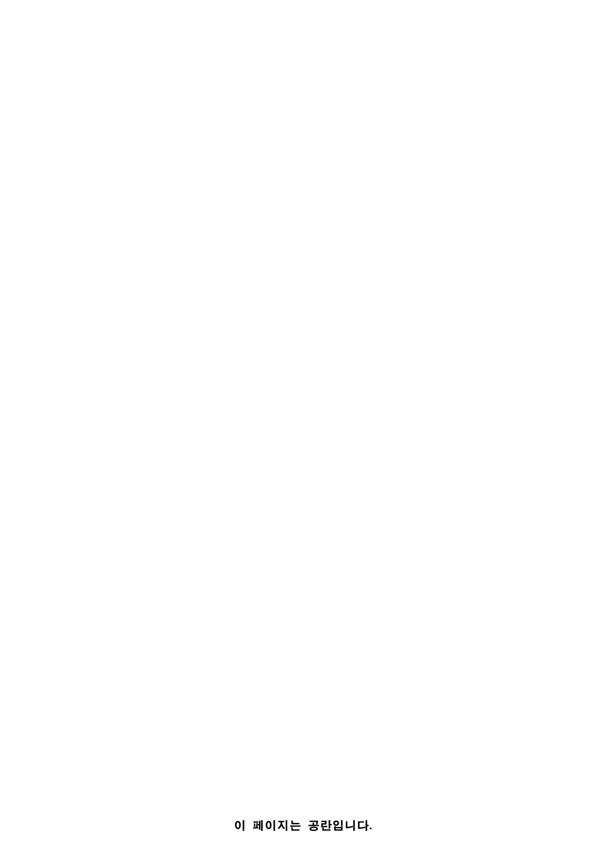이 페이지는 공란입니다.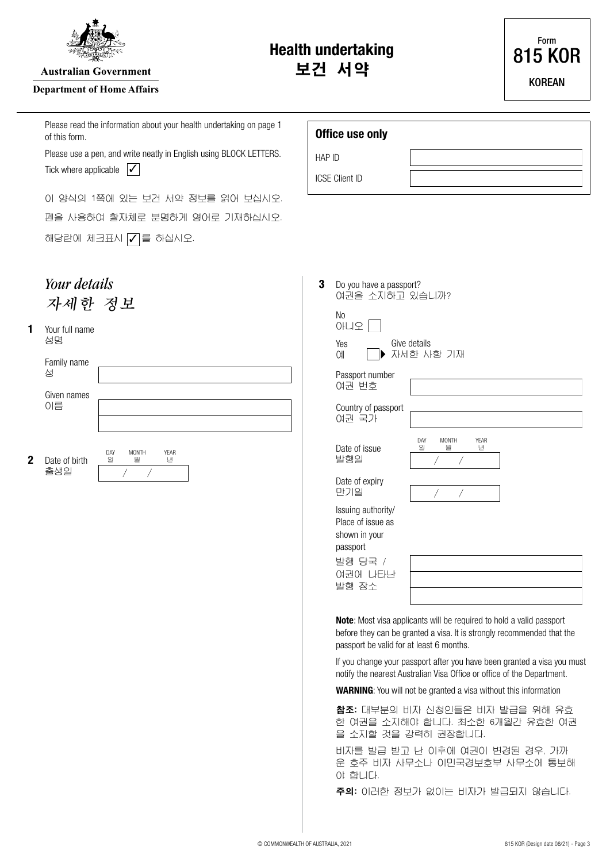

**Australian Government** 

#### **Department of Home Affairs**

Please read the information about your health undertaking on page 1 of this form.

Please use a pen, and write neatly in English using BLOCK LETTERS. Tick where applicable  $\mathcal{V}$ 

이 양식의 1쪽에 있는 보건 서약 정보를 읽어 보십시오. 펜을 사용하여 활자체로 분명하게 영어로 기재하십시오. 해당란에 체크표시  $\nabla \equiv$  하십시오.



#### 성명 **1** Your full name

| Date of birth    | DAY<br>일 | <b>MONTH</b><br>월 | <b>YEAR</b><br>년 |  |  |
|------------------|----------|-------------------|------------------|--|--|
|                  |          |                   |                  |  |  |
| 이름               |          |                   |                  |  |  |
| Given names      |          |                   |                  |  |  |
|                  |          |                   |                  |  |  |
| Family name<br>성 |          |                   |                  |  |  |
|                  |          |                   |                  |  |  |

 $\begin{bmatrix} 1 & 1 & 1 \\ 1 & 1 & 1 \end{bmatrix}$ 

# **Office use only**

HAP ID

ICSE Client ID

| 3 |    | Do you have a passport? | 여권을 소지하고 있습니까? |
|---|----|-------------------------|----------------|
|   | N٥ |                         |                |

| Yes | Give details |  |
|-----|--------------|--|
| Оll | ▶ 자세한 사항 기재  |  |

아니오

여권 번호 Passport number

여권 국가 Country of passport

발행일 Date of issue

만기일 Date of expiry

Issuing authority/ Place of issue as shown in your passport

발행 당국 / 여권에 나타난 발행 장소

**Note**: Most visa applicants will be required to hold a valid passport before they can be granted a visa. It is strongly recommended that the passport be valid for at least 6 months.

일 월 년

 $\overline{\phantom{a}}$ 

 $\overline{1}$ 

DAY MONTH YEAR

If you change your passport after you have been granted a visa you must notify the nearest Australian Visa Office or office of the Department.

**WARNING**: You will not be granted a visa without this information

참조: 대부분의 비자 신청인들은 비자 발급을 위해 유효 한 여권을 소지해야 합니다. 최소한 6개월간 유효한 여권 을 소지할 것을 강력히 권장합니다.

비자를 발급 받고 난 이후에 여권이 변경된 경우, 가까 운 호주 비자 사무소나 이민국경보호부 사무소에 통보해 야 합니다.

주의: 이러한 정보가 없이는 비자가 발급되지 않습니다.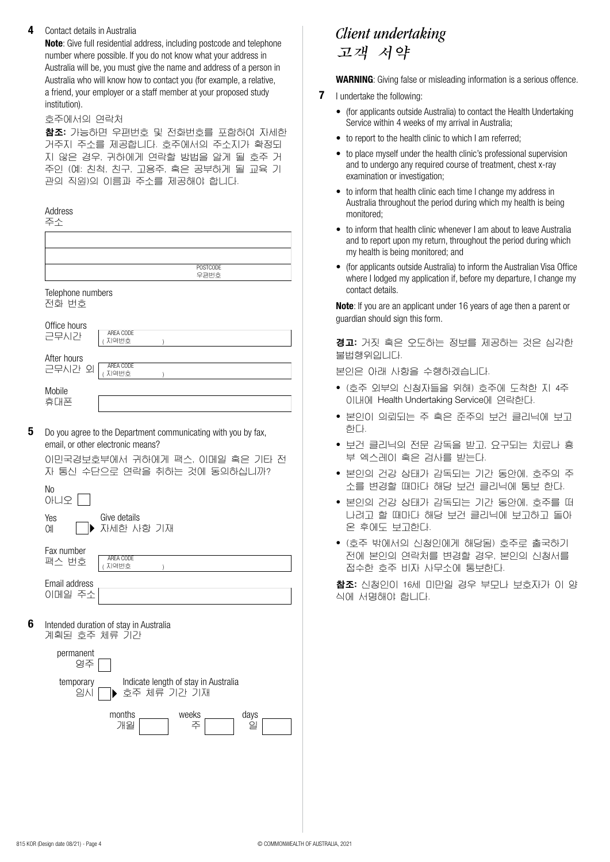#### **4** Contact details in Australia

**Note**: Give full residential address, including postcode and telephone number where possible. If you do not know what your address in Australia will be, you must give the name and address of a person in Australia who will know how to contact you (for example, a relative, a friend, your employer or a staff member at your proposed study institution).

#### 호주에서의 연락처

참조: 가능하면 우편번호 및 전화번호를 포함하여 자세한 거주지 주소를 제공합니다. 호주에서의 주소지가 확정되 지 않은 경우, 귀하에게 연락할 방법을 알게 될 호주 거 주인 (예: 친척, 친구, 고용주, 혹은 공부하게 될 교육 기 관의 직원)의 이름과 주소를 제공해야 합니다.

**5**

| Address<br>주수              |                                                                                                                                                                      |
|----------------------------|----------------------------------------------------------------------------------------------------------------------------------------------------------------------|
|                            |                                                                                                                                                                      |
|                            | <b>POSTCODE</b>                                                                                                                                                      |
|                            | 우편번호                                                                                                                                                                 |
| Telephone numbers<br>전화 번호 |                                                                                                                                                                      |
| Office hours<br>근무시간       | AREA CODE<br>지역번호                                                                                                                                                    |
| After hours<br>근무시간 외      | AREA CODE<br>지역번호                                                                                                                                                    |
| Mobile<br>휴대폰              |                                                                                                                                                                      |
|                            | Do you agree to the Department communicating with you by fax,<br>email, or other electronic means?<br>이민국경보호부에서 귀하에게 팩스, 이메일 혹은 기타 전<br>자 통신 수단으로 연락을 취하는 것에 동의하십니까? |
| <b>No</b><br>아니오           |                                                                                                                                                                      |
| Yes<br>Оll                 | Give details<br>자세한 사항 기재                                                                                                                                            |
| Fax number<br>팩스 번호        | AREA CODE<br>/ TICHH六                                                                                                                                                |

이메일 주소 Email address ( ) 지역번호

**6** 계획된 호주 체류 기간 Intended duration of stay in Australia

| permanent<br>영주 |               |                                      |      |
|-----------------|---------------|--------------------------------------|------|
| temporary<br>의사 | ▶ 호주 체류 기간 기재 | Indicate length of stay in Australia |      |
|                 | months<br>개월  | weeks<br>주                           | days |

# 고객 서약 *Client undertaking*

**WARNING**: Giving false or misleading information is a serious offence.

- **7** I undertake the following:
	- (for applicants outside Australia) to contact the Health Undertaking Service within 4 weeks of my arrival in Australia;
	- to report to the health clinic to which I am referred;
	- to place myself under the health clinic's professional supervision and to undergo any required course of treatment, chest x-ray examination or investigation;
	- to inform that health clinic each time I change my address in Australia throughout the period during which my health is being monitored;
	- to inform that health clinic whenever I am about to leave Australia and to report upon my return, throughout the period during which my health is being monitored; and
	- (for applicants outside Australia) to inform the Australian Visa Office where I lodged my application if, before my departure, I change my contact details.

**Note**: If you are an applicant under 16 years of age then a parent or guardian should sign this form.

경고: 거짓 혹은 오도하는 정보를 제공하는 것은 심각한 불법행위입니다.

본인은 아래 사항을 수행하겠습니다.

- (호주 외부의 신청자들을 위해) 호주에 도착한 지 4주 이내에 Health Undertaking Service에 연락한다.
- 본인이 의뢰되는 주 혹은 준주의 보건 클리닉에 보고 한다.
- 보건 클리닉의 전문 감독을 받고, 요구되는 치료나 흉 부 엑스레이 혹은 검사를 받는다.
- 본인의 건강 상태가 감독되는 기간 동안에, 호주의 주 소를 변경할 때마다 해당 보건 클리닉에 통보 한다.
- 본인의 건강 상태가 감독되는 기간 동안에, 호주를 떠 나려고 할 때마다 해당 보건 클리닉에 보고하고 돌아 온 후에도 보고한다.
- (호주 밖에서의 신청인에게 해당됨) 호주로 출국하기 전에 본인의 연락처를 변경할 경우, 본인의 신청서를 접수한 호주 비자 사무소에 통보한다.

참조: 신청인이 16세 미만일 경우 부모나 보호자가 이 양 식에 서명해야 합니다.